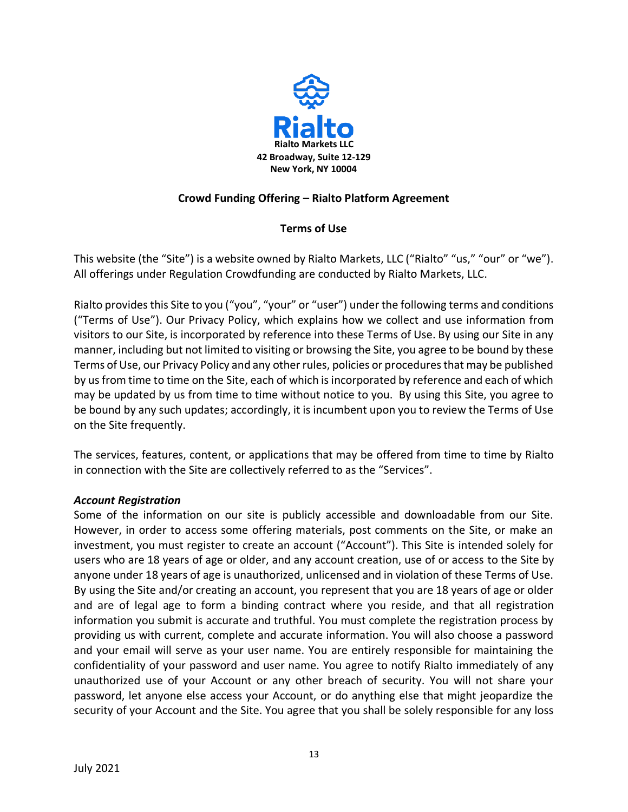

## **Crowd Funding Offering – Rialto Platform Agreement**

# **Terms of Use**

This website (the "Site") is a website owned by Rialto Markets, LLC ("Rialto" "us," "our" or "we"). All offerings under Regulation Crowdfunding are conducted by Rialto Markets, LLC.

Rialto provides this Site to you ("you", "your" or "user") under the following terms and conditions ("Terms of Use"). Our Privacy Policy, which explains how we collect and use information from visitors to our Site, is incorporated by reference into these Terms of Use. By using our Site in any manner, including but not limited to visiting or browsing the Site, you agree to be bound by these Terms of Use, our Privacy Policy and any other rules, policies or procedures that may be published by us from time to time on the Site, each of which is incorporated by reference and each of which may be updated by us from time to time without notice to you. By using this Site, you agree to be bound by any such updates; accordingly, it is incumbent upon you to review the Terms of Use on the Site frequently.

The services, features, content, or applications that may be offered from time to time by Rialto in connection with the Site are collectively referred to as the "Services".

#### *Account Registration*

Some of the information on our site is publicly accessible and downloadable from our Site. However, in order to access some offering materials, post comments on the Site, or make an investment, you must register to create an account ("Account"). This Site is intended solely for users who are 18 years of age or older, and any account creation, use of or access to the Site by anyone under 18 years of age is unauthorized, unlicensed and in violation of these Terms of Use. By using the Site and/or creating an account, you represent that you are 18 years of age or older and are of legal age to form a binding contract where you reside, and that all registration information you submit is accurate and truthful. You must complete the registration process by providing us with current, complete and accurate information. You will also choose a password and your email will serve as your user name. You are entirely responsible for maintaining the confidentiality of your password and user name. You agree to notify Rialto immediately of any unauthorized use of your Account or any other breach of security. You will not share your password, let anyone else access your Account, or do anything else that might jeopardize the security of your Account and the Site. You agree that you shall be solely responsible for any loss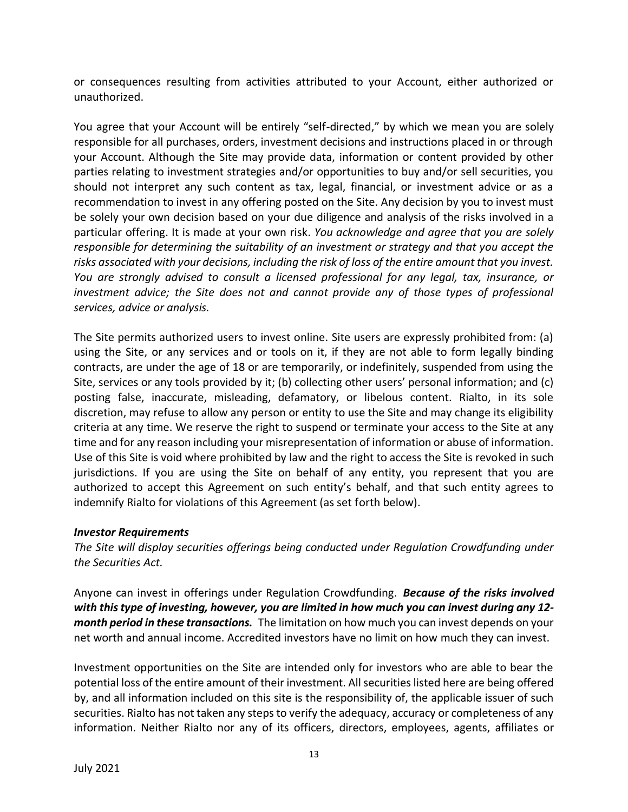or consequences resulting from activities attributed to your Account, either authorized or unauthorized.

You agree that your Account will be entirely "self-directed," by which we mean you are solely responsible for all purchases, orders, investment decisions and instructions placed in or through your Account. Although the Site may provide data, information or content provided by other parties relating to investment strategies and/or opportunities to buy and/or sell securities, you should not interpret any such content as tax, legal, financial, or investment advice or as a recommendation to invest in any offering posted on the Site. Any decision by you to invest must be solely your own decision based on your due diligence and analysis of the risks involved in a particular offering. It is made at your own risk. *You acknowledge and agree that you are solely responsible for determining the suitability of an investment or strategy and that you accept the risks associated with your decisions, including the risk of loss of the entire amount that you invest. You are strongly advised to consult a licensed professional for any legal, tax, insurance, or investment advice; the Site does not and cannot provide any of those types of professional services, advice or analysis.*

The Site permits authorized users to invest online. Site users are expressly prohibited from: (a) using the Site, or any services and or tools on it, if they are not able to form legally binding contracts, are under the age of 18 or are temporarily, or indefinitely, suspended from using the Site, services or any tools provided by it; (b) collecting other users' personal information; and (c) posting false, inaccurate, misleading, defamatory, or libelous content. Rialto, in its sole discretion, may refuse to allow any person or entity to use the Site and may change its eligibility criteria at any time. We reserve the right to suspend or terminate your access to the Site at any time and for any reason including your misrepresentation of information or abuse of information. Use of this Site is void where prohibited by law and the right to access the Site is revoked in such jurisdictions. If you are using the Site on behalf of any entity, you represent that you are authorized to accept this Agreement on such entity's behalf, and that such entity agrees to indemnify Rialto for violations of this Agreement (as set forth below).

#### *Investor Requirements*

*The Site will display securities offerings being conducted under Regulation Crowdfunding under the Securities Act.* 

Anyone can invest in offerings under Regulation Crowdfunding. *Because of the risks involved with thistype of investing, however, you are limited in how much you can invest during any 12 month period in these transactions.* The limitation on how much you can invest depends on your net worth and annual income. Accredited investors have no limit on how much they can invest.

Investment opportunities on the Site are intended only for investors who are able to bear the potential loss of the entire amount of their investment. All securities listed here are being offered by, and all information included on this site is the responsibility of, the applicable issuer of such securities. Rialto has not taken any steps to verify the adequacy, accuracy or completeness of any information. Neither Rialto nor any of its officers, directors, employees, agents, affiliates or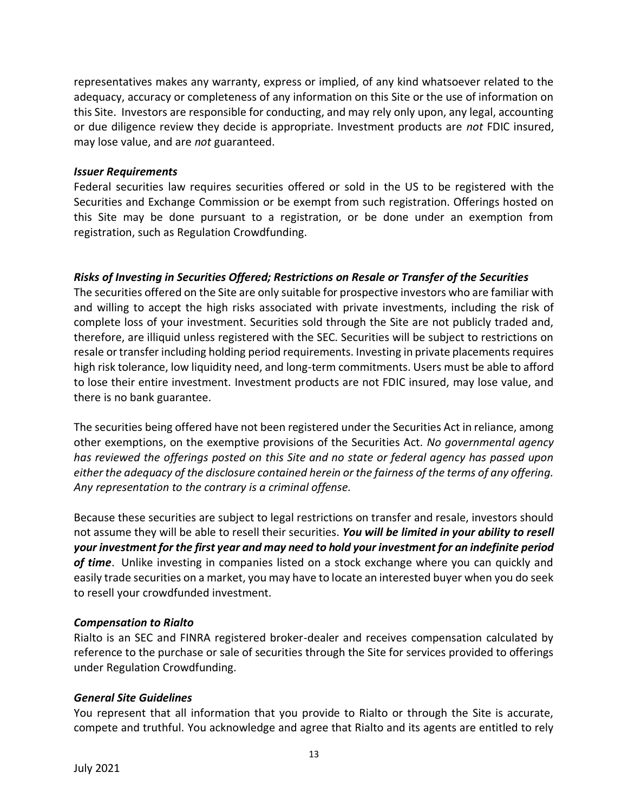representatives makes any warranty, express or implied, of any kind whatsoever related to the adequacy, accuracy or completeness of any information on this Site or the use of information on this Site. Investors are responsible for conducting, and may rely only upon, any legal, accounting or due diligence review they decide is appropriate. Investment products are *not* FDIC insured, may lose value, and are *not* guaranteed.

#### *Issuer Requirements*

Federal securities law requires securities offered or sold in the US to be registered with the Securities and Exchange Commission or be exempt from such registration. Offerings hosted on this Site may be done pursuant to a registration, or be done under an exemption from registration, such as Regulation Crowdfunding.

# *Risks of Investing in Securities Offered; Restrictions on Resale or Transfer of the Securities*

The securities offered on the Site are only suitable for prospective investors who are familiar with and willing to accept the high risks associated with private investments, including the risk of complete loss of your investment. Securities sold through the Site are not publicly traded and, therefore, are illiquid unless registered with the SEC. Securities will be subject to restrictions on resale or transfer including holding period requirements. Investing in private placements requires high risk tolerance, low liquidity need, and long-term commitments. Users must be able to afford to lose their entire investment. Investment products are not FDIC insured, may lose value, and there is no bank guarantee.

The securities being offered have not been registered under the Securities Act in reliance, among other exemptions, on the exemptive provisions of the Securities Act. *No governmental agency has reviewed the offerings posted on this Site and no state or federal agency has passed upon either the adequacy of the disclosure contained herein or the fairness of the terms of any offering. Any representation to the contrary is a criminal offense.*

Because these securities are subject to legal restrictions on transfer and resale, investors should not assume they will be able to resell their securities. *You will be limited in your ability to resell your investment for the first year and may need to hold your investment for an indefinite period of time*. Unlike investing in companies listed on a stock exchange where you can quickly and easily trade securities on a market, you may have to locate an interested buyer when you do seek to resell your crowdfunded investment.

## *Compensation to Rialto*

Rialto is an SEC and FINRA registered broker-dealer and receives compensation calculated by reference to the purchase or sale of securities through the Site for services provided to offerings under Regulation Crowdfunding.

#### *General Site Guidelines*

You represent that all information that you provide to Rialto or through the Site is accurate, compete and truthful. You acknowledge and agree that Rialto and its agents are entitled to rely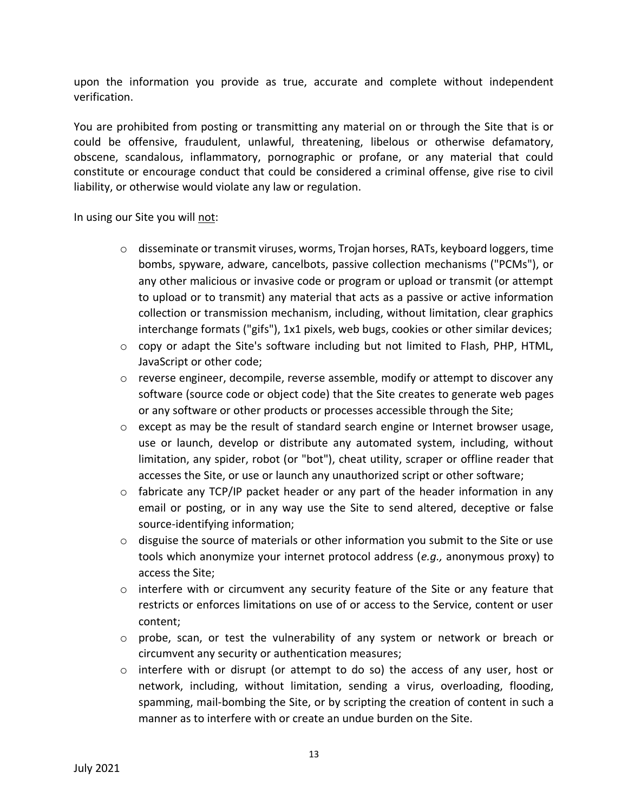upon the information you provide as true, accurate and complete without independent verification.

You are prohibited from posting or transmitting any material on or through the Site that is or could be offensive, fraudulent, unlawful, threatening, libelous or otherwise defamatory, obscene, scandalous, inflammatory, pornographic or profane, or any material that could constitute or encourage conduct that could be considered a criminal offense, give rise to civil liability, or otherwise would violate any law or regulation.

In using our Site you will not:

- o disseminate or transmit viruses, worms, Trojan horses, RATs, keyboard loggers, time bombs, spyware, adware, cancelbots, passive collection mechanisms ("PCMs"), or any other malicious or invasive code or program or upload or transmit (or attempt to upload or to transmit) any material that acts as a passive or active information collection or transmission mechanism, including, without limitation, clear graphics interchange formats ("gifs"), 1x1 pixels, web bugs, cookies or other similar devices;
- $\circ$  copy or adapt the Site's software including but not limited to Flash, PHP, HTML, JavaScript or other code;
- $\circ$  reverse engineer, decompile, reverse assemble, modify or attempt to discover any software (source code or object code) that the Site creates to generate web pages or any software or other products or processes accessible through the Site;
- $\circ$  except as may be the result of standard search engine or Internet browser usage, use or launch, develop or distribute any automated system, including, without limitation, any spider, robot (or "bot"), cheat utility, scraper or offline reader that accesses the Site, or use or launch any unauthorized script or other software;
- $\circ$  fabricate any TCP/IP packet header or any part of the header information in any email or posting, or in any way use the Site to send altered, deceptive or false source-identifying information;
- $\circ$  disguise the source of materials or other information you submit to the Site or use tools which anonymize your internet protocol address (*e.g.,* anonymous proxy) to access the Site;
- $\circ$  interfere with or circumvent any security feature of the Site or any feature that restricts or enforces limitations on use of or access to the Service, content or user content;
- $\circ$  probe, scan, or test the vulnerability of any system or network or breach or circumvent any security or authentication measures;
- $\circ$  interfere with or disrupt (or attempt to do so) the access of any user, host or network, including, without limitation, sending a virus, overloading, flooding, spamming, mail-bombing the Site, or by scripting the creation of content in such a manner as to interfere with or create an undue burden on the Site.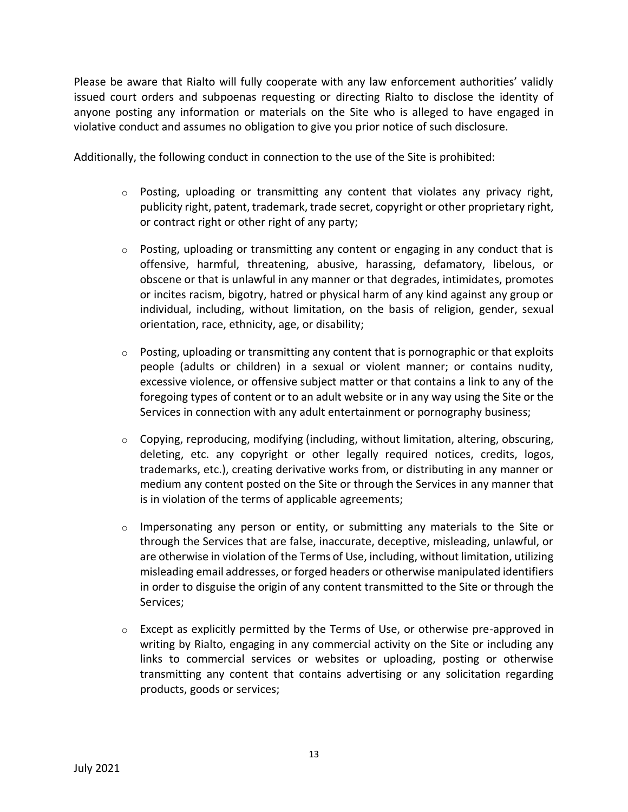Please be aware that Rialto will fully cooperate with any law enforcement authorities' validly issued court orders and subpoenas requesting or directing Rialto to disclose the identity of anyone posting any information or materials on the Site who is alleged to have engaged in violative conduct and assumes no obligation to give you prior notice of such disclosure.

Additionally, the following conduct in connection to the use of the Site is prohibited:

- $\circ$  Posting, uploading or transmitting any content that violates any privacy right, publicity right, patent, trademark, trade secret, copyright or other proprietary right, or contract right or other right of any party;
- $\circ$  Posting, uploading or transmitting any content or engaging in any conduct that is offensive, harmful, threatening, abusive, harassing, defamatory, libelous, or obscene or that is unlawful in any manner or that degrades, intimidates, promotes or incites racism, bigotry, hatred or physical harm of any kind against any group or individual, including, without limitation, on the basis of religion, gender, sexual orientation, race, ethnicity, age, or disability;
- $\circ$  Posting, uploading or transmitting any content that is pornographic or that exploits people (adults or children) in a sexual or violent manner; or contains nudity, excessive violence, or offensive subject matter or that contains a link to any of the foregoing types of content or to an adult website or in any way using the Site or the Services in connection with any adult entertainment or pornography business;
- $\circ$  Copying, reproducing, modifying (including, without limitation, altering, obscuring, deleting, etc. any copyright or other legally required notices, credits, logos, trademarks, etc.), creating derivative works from, or distributing in any manner or medium any content posted on the Site or through the Services in any manner that is in violation of the terms of applicable agreements;
- $\circ$  Impersonating any person or entity, or submitting any materials to the Site or through the Services that are false, inaccurate, deceptive, misleading, unlawful, or are otherwise in violation of the Terms of Use, including, without limitation, utilizing misleading email addresses, or forged headers or otherwise manipulated identifiers in order to disguise the origin of any content transmitted to the Site or through the Services;
- $\circ$  Except as explicitly permitted by the Terms of Use, or otherwise pre-approved in writing by Rialto, engaging in any commercial activity on the Site or including any links to commercial services or websites or uploading, posting or otherwise transmitting any content that contains advertising or any solicitation regarding products, goods or services;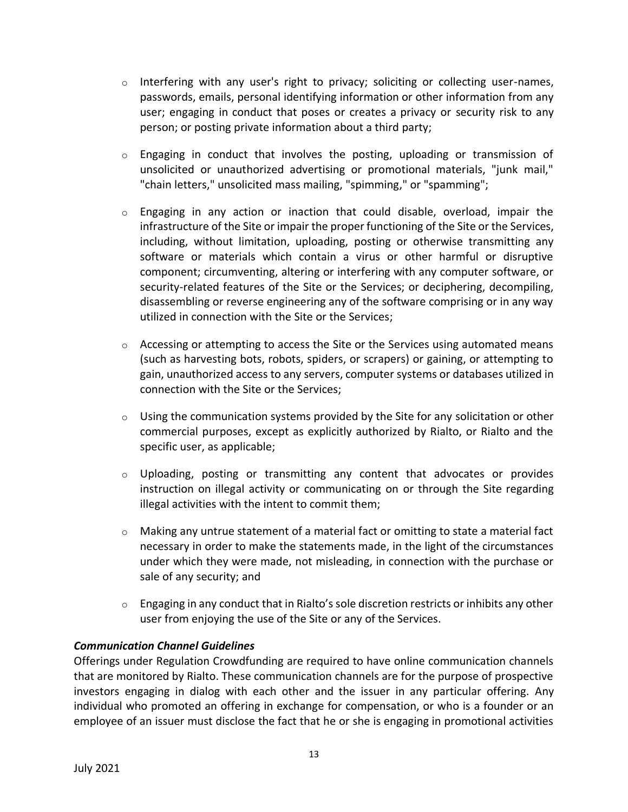- $\circ$  Interfering with any user's right to privacy; soliciting or collecting user-names, passwords, emails, personal identifying information or other information from any user; engaging in conduct that poses or creates a privacy or security risk to any person; or posting private information about a third party;
- $\circ$  Engaging in conduct that involves the posting, uploading or transmission of unsolicited or unauthorized advertising or promotional materials, "junk mail," "chain letters," unsolicited mass mailing, "spimming," or "spamming";
- $\circ$  Engaging in any action or inaction that could disable, overload, impair the infrastructure of the Site or impair the proper functioning of the Site or the Services, including, without limitation, uploading, posting or otherwise transmitting any software or materials which contain a virus or other harmful or disruptive component; circumventing, altering or interfering with any computer software, or security-related features of the Site or the Services; or deciphering, decompiling, disassembling or reverse engineering any of the software comprising or in any way utilized in connection with the Site or the Services;
- $\circ$  Accessing or attempting to access the Site or the Services using automated means (such as harvesting bots, robots, spiders, or scrapers) or gaining, or attempting to gain, unauthorized access to any servers, computer systems or databases utilized in connection with the Site or the Services;
- $\circ$  Using the communication systems provided by the Site for any solicitation or other commercial purposes, except as explicitly authorized by Rialto, or Rialto and the specific user, as applicable;
- $\circ$  Uploading, posting or transmitting any content that advocates or provides instruction on illegal activity or communicating on or through the Site regarding illegal activities with the intent to commit them;
- $\circ$  Making any untrue statement of a material fact or omitting to state a material fact necessary in order to make the statements made, in the light of the circumstances under which they were made, not misleading, in connection with the purchase or sale of any security; and
- $\circ$  Engaging in any conduct that in Rialto's sole discretion restricts or inhibits any other user from enjoying the use of the Site or any of the Services.

## *Communication Channel Guidelines*

Offerings under Regulation Crowdfunding are required to have online communication channels that are monitored by Rialto. These communication channels are for the purpose of prospective investors engaging in dialog with each other and the issuer in any particular offering. Any individual who promoted an offering in exchange for compensation, or who is a founder or an employee of an issuer must disclose the fact that he or she is engaging in promotional activities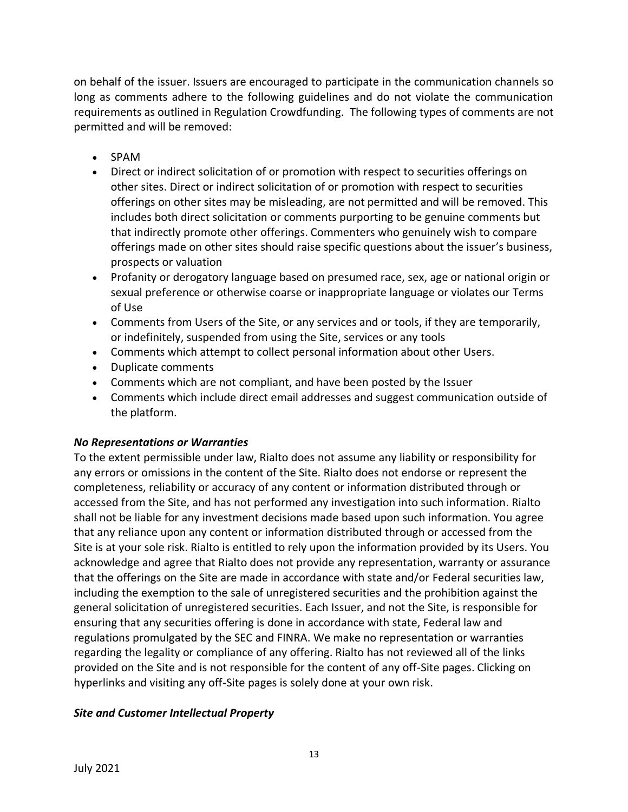on behalf of the issuer. Issuers are encouraged to participate in the communication channels so long as comments adhere to the following guidelines and do not violate the communication requirements as outlined in Regulation Crowdfunding. The following types of comments are not permitted and will be removed:

- SPAM
- Direct or indirect solicitation of or promotion with respect to securities offerings on other sites. Direct or indirect solicitation of or promotion with respect to securities offerings on other sites may be misleading, are not permitted and will be removed. This includes both direct solicitation or comments purporting to be genuine comments but that indirectly promote other offerings. Commenters who genuinely wish to compare offerings made on other sites should raise specific questions about the issuer's business, prospects or valuation
- Profanity or derogatory language based on presumed race, sex, age or national origin or sexual preference or otherwise coarse or inappropriate language or violates our Terms of Use
- Comments from Users of the Site, or any services and or tools, if they are temporarily, or indefinitely, suspended from using the Site, services or any tools
- Comments which attempt to collect personal information about other Users.
- Duplicate comments
- Comments which are not compliant, and have been posted by the Issuer
- Comments which include direct email addresses and suggest communication outside of the platform.

## *No Representations or Warranties*

To the extent permissible under law, Rialto does not assume any liability or responsibility for any errors or omissions in the content of the Site. Rialto does not endorse or represent the completeness, reliability or accuracy of any content or information distributed through or accessed from the Site, and has not performed any investigation into such information. Rialto shall not be liable for any investment decisions made based upon such information. You agree that any reliance upon any content or information distributed through or accessed from the Site is at your sole risk. Rialto is entitled to rely upon the information provided by its Users. You acknowledge and agree that Rialto does not provide any representation, warranty or assurance that the offerings on the Site are made in accordance with state and/or Federal securities law, including the exemption to the sale of unregistered securities and the prohibition against the general solicitation of unregistered securities. Each Issuer, and not the Site, is responsible for ensuring that any securities offering is done in accordance with state, Federal law and regulations promulgated by the SEC and FINRA. We make no representation or warranties regarding the legality or compliance of any offering. Rialto has not reviewed all of the links provided on the Site and is not responsible for the content of any off-Site pages. Clicking on hyperlinks and visiting any off-Site pages is solely done at your own risk.

## *Site and Customer Intellectual Property*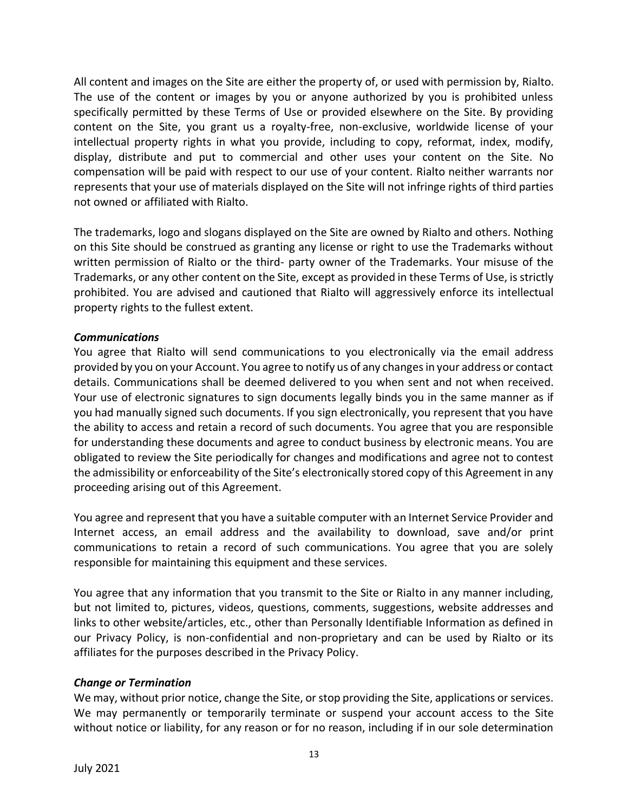All content and images on the Site are either the property of, or used with permission by, Rialto. The use of the content or images by you or anyone authorized by you is prohibited unless specifically permitted by these Terms of Use or provided elsewhere on the Site. By providing content on the Site, you grant us a royalty-free, non-exclusive, worldwide license of your intellectual property rights in what you provide, including to copy, reformat, index, modify, display, distribute and put to commercial and other uses your content on the Site. No compensation will be paid with respect to our use of your content. Rialto neither warrants nor represents that your use of materials displayed on the Site will not infringe rights of third parties not owned or affiliated with Rialto.

The trademarks, logo and slogans displayed on the Site are owned by Rialto and others. Nothing on this Site should be construed as granting any license or right to use the Trademarks without written permission of Rialto or the third- party owner of the Trademarks. Your misuse of the Trademarks, or any other content on the Site, except as provided in these Terms of Use, is strictly prohibited. You are advised and cautioned that Rialto will aggressively enforce its intellectual property rights to the fullest extent.

#### *Communications*

You agree that Rialto will send communications to you electronically via the email address provided by you on your Account. You agree to notify us of any changes in your address or contact details. Communications shall be deemed delivered to you when sent and not when received. Your use of electronic signatures to sign documents legally binds you in the same manner as if you had manually signed such documents. If you sign electronically, you represent that you have the ability to access and retain a record of such documents. You agree that you are responsible for understanding these documents and agree to conduct business by electronic means. You are obligated to review the Site periodically for changes and modifications and agree not to contest the admissibility or enforceability of the Site's electronically stored copy of this Agreement in any proceeding arising out of this Agreement.

You agree and represent that you have a suitable computer with an Internet Service Provider and Internet access, an email address and the availability to download, save and/or print communications to retain a record of such communications. You agree that you are solely responsible for maintaining this equipment and these services.

You agree that any information that you transmit to the Site or Rialto in any manner including, but not limited to, pictures, videos, questions, comments, suggestions, website addresses and links to other website/articles, etc., other than Personally Identifiable Information as defined in our Privacy Policy, is non-confidential and non-proprietary and can be used by Rialto or its affiliates for the purposes described in the Privacy Policy.

#### *Change or Termination*

We may, without prior notice, change the Site, or stop providing the Site, applications or services. We may permanently or temporarily terminate or suspend your account access to the Site without notice or liability, for any reason or for no reason, including if in our sole determination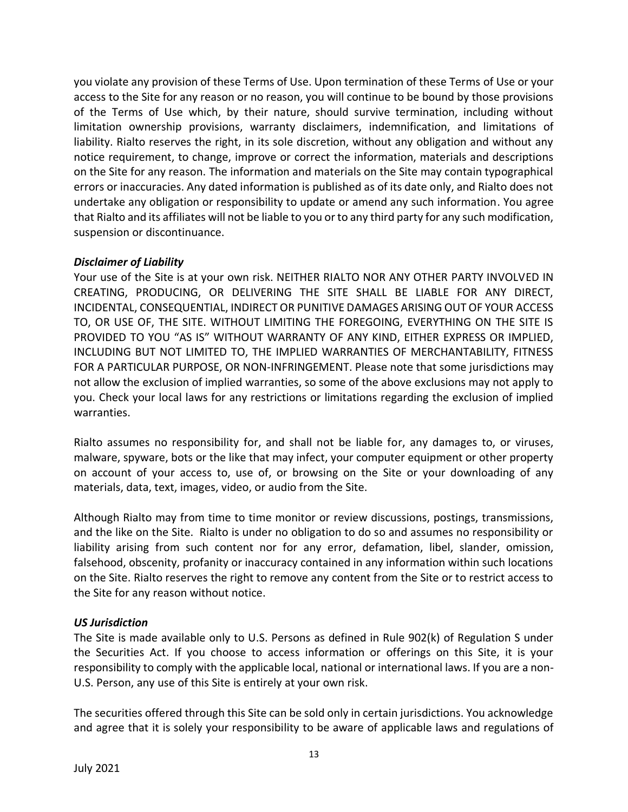you violate any provision of these Terms of Use. Upon termination of these Terms of Use or your access to the Site for any reason or no reason, you will continue to be bound by those provisions of the Terms of Use which, by their nature, should survive termination, including without limitation ownership provisions, warranty disclaimers, indemnification, and limitations of liability. Rialto reserves the right, in its sole discretion, without any obligation and without any notice requirement, to change, improve or correct the information, materials and descriptions on the Site for any reason. The information and materials on the Site may contain typographical errors or inaccuracies. Any dated information is published as of its date only, and Rialto does not undertake any obligation or responsibility to update or amend any such information. You agree that Rialto and its affiliates will not be liable to you or to any third party for any such modification, suspension or discontinuance.

### *Disclaimer of Liability*

Your use of the Site is at your own risk. NEITHER RIALTO NOR ANY OTHER PARTY INVOLVED IN CREATING, PRODUCING, OR DELIVERING THE SITE SHALL BE LIABLE FOR ANY DIRECT, INCIDENTAL, CONSEQUENTIAL, INDIRECT OR PUNITIVE DAMAGES ARISING OUT OF YOUR ACCESS TO, OR USE OF, THE SITE. WITHOUT LIMITING THE FOREGOING, EVERYTHING ON THE SITE IS PROVIDED TO YOU "AS IS" WITHOUT WARRANTY OF ANY KIND, EITHER EXPRESS OR IMPLIED, INCLUDING BUT NOT LIMITED TO, THE IMPLIED WARRANTIES OF MERCHANTABILITY, FITNESS FOR A PARTICULAR PURPOSE, OR NON-INFRINGEMENT. Please note that some jurisdictions may not allow the exclusion of implied warranties, so some of the above exclusions may not apply to you. Check your local laws for any restrictions or limitations regarding the exclusion of implied warranties.

Rialto assumes no responsibility for, and shall not be liable for, any damages to, or viruses, malware, spyware, bots or the like that may infect, your computer equipment or other property on account of your access to, use of, or browsing on the Site or your downloading of any materials, data, text, images, video, or audio from the Site.

Although Rialto may from time to time monitor or review discussions, postings, transmissions, and the like on the Site. Rialto is under no obligation to do so and assumes no responsibility or liability arising from such content nor for any error, defamation, libel, slander, omission, falsehood, obscenity, profanity or inaccuracy contained in any information within such locations on the Site. Rialto reserves the right to remove any content from the Site or to restrict access to the Site for any reason without notice.

## *US Jurisdiction*

The Site is made available only to U.S. Persons as defined in Rule 902(k) of Regulation S under the Securities Act. If you choose to access information or offerings on this Site, it is your responsibility to comply with the applicable local, national or international laws. If you are a non-U.S. Person, any use of this Site is entirely at your own risk.

The securities offered through this Site can be sold only in certain jurisdictions. You acknowledge and agree that it is solely your responsibility to be aware of applicable laws and regulations of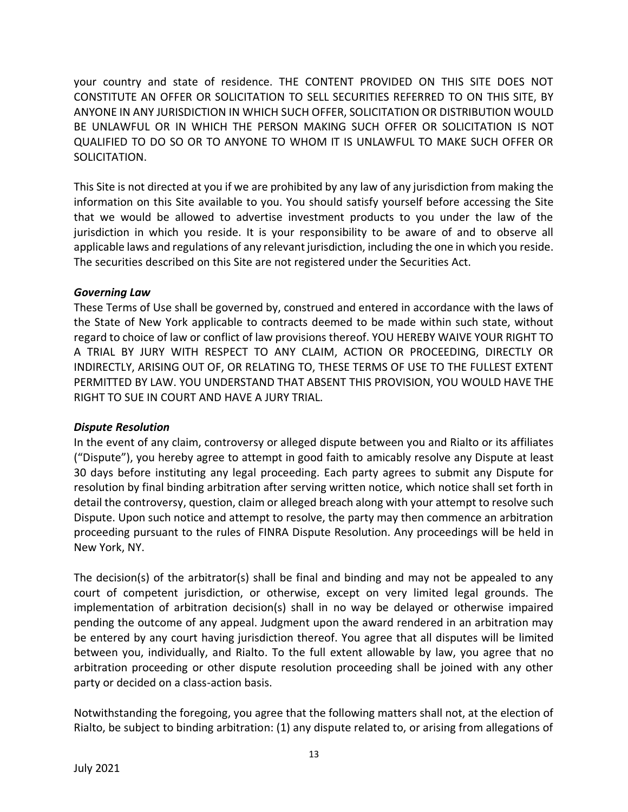your country and state of residence. THE CONTENT PROVIDED ON THIS SITE DOES NOT CONSTITUTE AN OFFER OR SOLICITATION TO SELL SECURITIES REFERRED TO ON THIS SITE, BY ANYONE IN ANY JURISDICTION IN WHICH SUCH OFFER, SOLICITATION OR DISTRIBUTION WOULD BE UNLAWFUL OR IN WHICH THE PERSON MAKING SUCH OFFER OR SOLICITATION IS NOT QUALIFIED TO DO SO OR TO ANYONE TO WHOM IT IS UNLAWFUL TO MAKE SUCH OFFER OR SOLICITATION.

This Site is not directed at you if we are prohibited by any law of any jurisdiction from making the information on this Site available to you. You should satisfy yourself before accessing the Site that we would be allowed to advertise investment products to you under the law of the jurisdiction in which you reside. It is your responsibility to be aware of and to observe all applicable laws and regulations of any relevant jurisdiction, including the one in which you reside. The securities described on this Site are not registered under the Securities Act.

### *Governing Law*

These Terms of Use shall be governed by, construed and entered in accordance with the laws of the State of New York applicable to contracts deemed to be made within such state, without regard to choice of law or conflict of law provisions thereof. YOU HEREBY WAIVE YOUR RIGHT TO A TRIAL BY JURY WITH RESPECT TO ANY CLAIM, ACTION OR PROCEEDING, DIRECTLY OR INDIRECTLY, ARISING OUT OF, OR RELATING TO, THESE TERMS OF USE TO THE FULLEST EXTENT PERMITTED BY LAW. YOU UNDERSTAND THAT ABSENT THIS PROVISION, YOU WOULD HAVE THE RIGHT TO SUE IN COURT AND HAVE A JURY TRIAL.

#### *Dispute Resolution*

In the event of any claim, controversy or alleged dispute between you and Rialto or its affiliates ("Dispute"), you hereby agree to attempt in good faith to amicably resolve any Dispute at least 30 days before instituting any legal proceeding. Each party agrees to submit any Dispute for resolution by final binding arbitration after serving written notice, which notice shall set forth in detail the controversy, question, claim or alleged breach along with your attempt to resolve such Dispute. Upon such notice and attempt to resolve, the party may then commence an arbitration proceeding pursuant to the rules of FINRA Dispute Resolution. Any proceedings will be held in New York, NY.

The decision(s) of the arbitrator(s) shall be final and binding and may not be appealed to any court of competent jurisdiction, or otherwise, except on very limited legal grounds. The implementation of arbitration decision(s) shall in no way be delayed or otherwise impaired pending the outcome of any appeal. Judgment upon the award rendered in an arbitration may be entered by any court having jurisdiction thereof. You agree that all disputes will be limited between you, individually, and Rialto. To the full extent allowable by law, you agree that no arbitration proceeding or other dispute resolution proceeding shall be joined with any other party or decided on a class-action basis.

Notwithstanding the foregoing, you agree that the following matters shall not, at the election of Rialto, be subject to binding arbitration: (1) any dispute related to, or arising from allegations of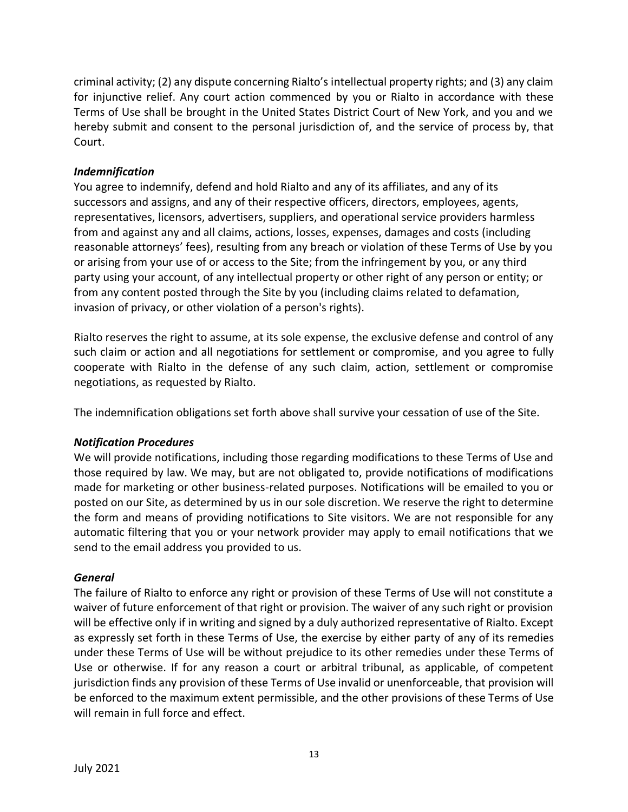criminal activity; (2) any dispute concerning Rialto's intellectual property rights; and (3) any claim for injunctive relief. Any court action commenced by you or Rialto in accordance with these Terms of Use shall be brought in the United States District Court of New York, and you and we hereby submit and consent to the personal jurisdiction of, and the service of process by, that Court.

### *Indemnification*

You agree to indemnify, defend and hold Rialto and any of its affiliates, and any of its successors and assigns, and any of their respective officers, directors, employees, agents, representatives, licensors, advertisers, suppliers, and operational service providers harmless from and against any and all claims, actions, losses, expenses, damages and costs (including reasonable attorneys' fees), resulting from any breach or violation of these Terms of Use by you or arising from your use of or access to the Site; from the infringement by you, or any third party using your account, of any intellectual property or other right of any person or entity; or from any content posted through the Site by you (including claims related to defamation, invasion of privacy, or other violation of a person's rights).

Rialto reserves the right to assume, at its sole expense, the exclusive defense and control of any such claim or action and all negotiations for settlement or compromise, and you agree to fully cooperate with Rialto in the defense of any such claim, action, settlement or compromise negotiations, as requested by Rialto.

The indemnification obligations set forth above shall survive your cessation of use of the Site.

#### *Notification Procedures*

We will provide notifications, including those regarding modifications to these Terms of Use and those required by law. We may, but are not obligated to, provide notifications of modifications made for marketing or other business-related purposes. Notifications will be emailed to you or posted on our Site, as determined by us in our sole discretion. We reserve the right to determine the form and means of providing notifications to Site visitors. We are not responsible for any automatic filtering that you or your network provider may apply to email notifications that we send to the email address you provided to us.

#### *General*

The failure of Rialto to enforce any right or provision of these Terms of Use will not constitute a waiver of future enforcement of that right or provision. The waiver of any such right or provision will be effective only if in writing and signed by a duly authorized representative of Rialto. Except as expressly set forth in these Terms of Use, the exercise by either party of any of its remedies under these Terms of Use will be without prejudice to its other remedies under these Terms of Use or otherwise. If for any reason a court or arbitral tribunal, as applicable, of competent jurisdiction finds any provision of these Terms of Use invalid or unenforceable, that provision will be enforced to the maximum extent permissible, and the other provisions of these Terms of Use will remain in full force and effect.